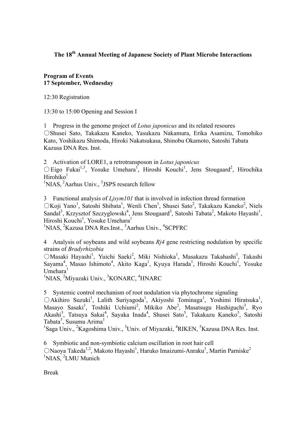## **The 18th Annual Meeting of Japanese Society of Plant Microbe Interactions**

#### **Program of Events 17 September, Wednesday**

12:30 Registration

13:30 to 15:00 Opening and Session I

1 Progress in the genome project of *Lotus japonicus* and its related resoures ○Shusei Sato, Takakazu Kaneko, Yasukazu Nakamura, Erika Asamizu, Tomohiko Kato, Yoshikazu Shimoda, Hiroki Nakatsukasa, Shinobu Okamoto, Satoshi Tabata Kazusa DNA Res. Inst.

2 Activation of LORE1, a retrotransposon in *Lotus japonicus*  $\bigcirc$  Eigo Fukai<sup>1,3</sup>, Yosuke Umehara<sup>1</sup>, Hiroshi Kouchi<sup>1</sup>, Jens Stougaard<sup>2</sup>, Hirochika Hirohiko $1$ 

<sup>1</sup>NIAS, <sup>2</sup>Aarhus Univ., <sup>3</sup>JSPS research fellow

3 Functional analysis of *Ljsym101* that is involved in infection thread formation ○Koji Yano 1 , Satoshi Shibata 1 , Wenli Chen 1 , Shusei Sato 2 , Takakazu Kaneko2 , Niels Sandal<sup>3</sup>, Krzysztof Szczyglowski<sup>4</sup>, Jens Stougaard<sup>3</sup>, Satoshi Tabata<sup>2</sup>, Makoto Hayashi<sup>1</sup>, Hiroshi Kouchi<sup>1</sup>, Yosuke Umehara<sup>1</sup> <sup>1</sup>NIAS, <sup>2</sup>Kazusa DNA Res.Inst., <sup>3</sup>Aarhus Univ., <sup>4</sup>SCPFRC

4 Analysis of soybeans and wild soybeans *Rj4* gene restricting nodulation by specific strains of *Bradyrhizobia*

OMasaki Hayashi<sup>1</sup>, Yuichi Saeki<sup>2</sup>, Miki Nishioka<sup>1</sup>, Masakazu Takahashi<sup>3</sup>, Takashi Sayama<sup>4</sup>, Masao Ishimoto<sup>4</sup>, Akito Kaga<sup>1</sup>, Kyuya Harada<sup>1</sup>, Hiroshi Kouchi<sup>1</sup>, Yosuke Umehara<sup>1</sup>

<sup>1</sup>NIAS, <sup>2</sup>Miyazaki Univ., <sup>3</sup>KONARC, <sup>4</sup>HNARC

5 Systemic control mechanism of root nodulation via phytochrome signaling ○Akihiro Suzuki<sup>1</sup>, Lalith Suriyagoda<sup>1</sup>, Akiyoshi Tominaga<sup>1</sup>, Yoshimi Hiratsuka<sup>1</sup>, Masayo Sasaki<sup>1</sup>, Toshiki Uchiumi<sup>2</sup>, Mikiko Abe<sup>2</sup>, Masatsugu Hashiguchi<sup>3</sup>, Ryo Akashi<sup>3</sup>, Tatsuya Sakai<sup>4</sup>, Sayaka Inada<sup>4</sup>, Shusei Sato<sup>5</sup>, Takakazu Kaneko<sup>5</sup>, Satoshi Tabata<sup>5</sup>, Susumu Arima<sup>1</sup>

<sup>1</sup>Saga Univ., <sup>2</sup>Kagoshima Univ., <sup>3</sup>Univ. of Miyazaki, <sup>4</sup>RIKEN, <sup>5</sup>Kazusa DNA Res. Inst.

6 Symbiotic and non-symbiotic calcium oscillation in root hair cell  $\bigcirc$ Naoya Takeda<sup>1,2</sup>, Makoto Hayashi<sup>1</sup>, Haruko Imaizumi-Anraku<sup>1</sup>, Martin Parniske<sup>2</sup> <sup>1</sup>NIAS, <sup>2</sup>LMU Munich

Break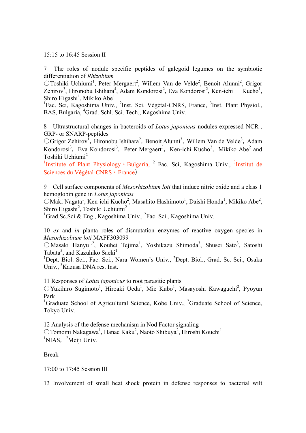15:15 to 16:45 Session II

7 The roles of nodule specific peptides of galegoid legumes on the symbiotic differentiation of *Rhizobium*

 $\bigcirc$ Toshiki Uchiumi<sup>1</sup>, Peter Mergaert<sup>2</sup>, Willem Van de Velde<sup>2</sup>, Benoit Alunni<sup>2</sup>, Grigor Zehirov<sup>3</sup>, Hironobu Ishihara<sup>4</sup>, Adam Kondorosi<sup>2</sup>, Eva Kondorosi<sup>2</sup>, Ken-ichi Kucho<sup>1</sup>  $Kucho<sup>1</sup>$ Shiro Higashi<sup>1</sup>, Mikiko Abe<sup>1</sup>

<sup>1</sup>Fac. Sci, Kagoshima Univ., <sup>2</sup>Inst. Sci. Végétal-CNRS, France, <sup>3</sup>Inst. Plant Physiol., BAS, Bulgaria, <sup>4</sup>Grad. Schl. Sci. Tech., Kagoshima Univ.

8 Ultrastructural changes in bacteroids of *Lotus japonicus* nodules expressed NCR-, GRP- or SNARP-peptides

 $\bigcirc$ Grigor Zehirov<sup>1</sup>, Hironobu Ishihara<sup>2</sup>, Benoit Alunni<sup>3</sup>, Willem Van de Velde<sup>3</sup>, Adam Kondorosi<sup>3</sup>, Eva Kondorosi<sup>3</sup>, Peter Mergaert<sup>3</sup>, Ken-ichi Kucho<sup>2</sup>, Mikiko Abe<sup>2</sup> and Toshiki Uchiumi 2

<sup>1</sup>Institute of Plant Physiology · Bulgaria, <sup>2</sup> Fac. Sci, Kagoshima Univ., <sup>3</sup>Institut de Sciences du Végétal-CNRS・France)

9 Cell surface components of *Mesorhizobium loti* that induce nitric oxide and a class 1 hemoglobin gene in *Lotus japonicus*

OMaki Nagata<sup>1</sup>, Ken-ichi Kucho<sup>2</sup>, Masahito Hashimoto<sup>1</sup>, Daishi Honda<sup>1</sup>, Mikiko Abe<sup>2</sup>, Shiro Higashi<sup>2</sup>, Toshiki Uchiumi<sup>2</sup>

<sup>1</sup>Grad.Sc.Sci & Eng., Kagoshima Univ., <sup>2</sup>Fac. Sci., Kagoshima Univ.

10 *ex* and *in* planta roles of dismutation enzymes of reactive oxygen species in *Mesorhizobium loti* MAFF303099

○Masaki Hanyu<sup>1,2</sup>, Kouhei Tejima<sup>1</sup>, Yoshikazu Shimoda<sup>3</sup>, Shusei Sato<sup>3</sup>, Satoshi Tabata<sup>3</sup>, and Kazuhiko Saeki<sup>1</sup>

<sup>1</sup>Dept. Biol. Sci., Fac. Sci., Nara Women's Univ., <sup>2</sup>Dept. Biol., Grad. Sc. Sci., Osaka Univ., <sup>3</sup>Kazusa DNA res. Inst.

11 Responses of *Lotus japonicus* to root parasitic plants

○Yukihiro Sugimoto<sup>1</sup>, Hiroaki Ueda<sup>1</sup>, Mie Kubo<sup>1</sup>, Masayoshi Kawaguchi<sup>2</sup>, Pyoyun  $\text{Park}^1$ 

<sup>1</sup>Graduate School of Agricultural Science, Kobe Univ., <sup>2</sup>Graduate School of Science, Tokyo Univ.

12 Analysis of the defense mechanism in Nod Factor signaling OTomomi Nakagawa<sup>1</sup>, Hanae Kaku<sup>2</sup>, Naoto Shibuya<sup>2</sup>, Hiroshi Kouchi<sup>1</sup> <sup>1</sup>NIAS, <sup>2</sup>Meiji Univ.

Break

17:00 to 17:45 Session III

13 Involvement of small heat shock protein in defense responses to bacterial wilt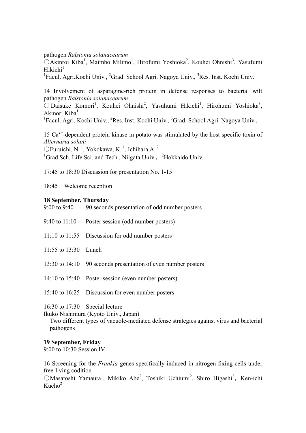pathogen *Ralstonia solanacearum*

○Akinroi Kiba<sup>1</sup>, Maimbo Milimo<sup>1</sup>, Hirofumi Yoshioka<sup>2</sup>, Kouhei Ohnishi<sup>3</sup>, Yasufumi  $Hikichi<sup>1</sup>$ 

<sup>1</sup>Facul. Agri.Kochi Univ., <sup>2</sup>Grad. School Agri. Nagoya Univ., <sup>3</sup>Res. Inst. Kochi Univ.

14 Involvement of asparagine-rich protein in defense responses to bacterial wilt pathogen *Ralstonia solanacearum*

 $\bigcirc$  Daisuke Komori<sup>1</sup>, Kouhei Ohnishi<sup>2</sup>, Yasuhumi Hikichi<sup>1</sup>, Hirohumi Yoshioka<sup>3</sup>, Akinori Kiba<sup>1</sup>

<sup>1</sup>Facul. Agri. Kochi Univ., <sup>2</sup>Res. Inst. Kochi Univ., <sup>3</sup>Grad. School Agri. Nagoya Univ.,

15  $Ca<sup>2+</sup>$ -dependent protein kinase in potato was stimulated by the host specific toxin of *Alternaria solani*

OFuruichi, N.<sup>1</sup>, Yokokawa, K.<sup>1</sup>, Ichihara, A.<sup>2</sup>

<sup>1</sup>Grad.Sch. Life Sci. and Tech., Niigata Univ., <sup>2</sup>Hokkaido Univ.

17:45 to 18:30 Discussion for presentation No. 1-15

18:45 Welcome reception

### **18 September, Thursday**

| $9:00$ to $9:40$       | 90 seconds presentation of odd number posters                 |
|------------------------|---------------------------------------------------------------|
| $9:40$ to $11:10$      | Poster session (odd number posters)                           |
|                        | 11:10 to 11:55 Discussion for odd number posters              |
| 11:55 to $13:30$ Lunch |                                                               |
|                        | 13:30 to 14:10 90 seconds presentation of even number posters |
|                        | 14:10 to 15:40 Poster session (even number posters)           |
|                        | 15:40 to 16:25 Discussion for even number posters             |
|                        |                                                               |

16:30 to 17:30 Special lecture

Ikuko Nishimura (Kyoto Univ., Japan)

Two different types of vacuole-mediated defense strategies against virus and bacterial pathogens

### **19 September, Friday**

9:00 to 10:30 Session IV

16 Screening for the *Frankia* genes specifically induced in nitrogen-fixing cells under free-living codition

OMasatoshi Yamaura<sup>1</sup>, Mikiko Abe<sup>2</sup>, Toshiki Uchiumi<sup>2</sup>, Shiro Higashi<sup>2</sup>, Ken-ichi  $Kucho<sup>2</sup>$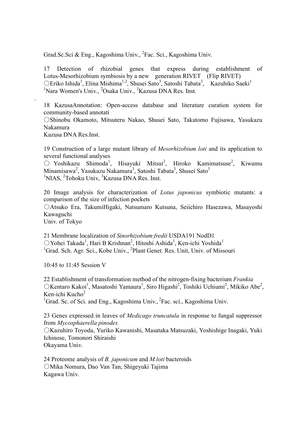Grad.Sc.Sci & Eng., Kagoshima Univ., <sup>2</sup>Fac. Sci., Kagoshima Univ.

17 Detection of rhizobial genes that express during establishment of Lotus-Mesorhizobium symbiosis by a new generation RIVET (Flip RIVET) ○Eriko Ishida<sup>1</sup>, Elina Mishima<sup>1,2</sup>, Shusei Sato<sup>3</sup>, Satoshi Tabata<sup>3</sup>, Kazuhiko Saeki<sup>1</sup> <sup>1</sup>Nara Women's Univ., <sup>2</sup>Osaka Univ., <sup>3</sup>Kazusa DNA Res. Inst.

18 KazusaAnnotation: Open-access database and literature curation system for community-based annotati

○Shinobu Okamoto, Mitsuteru Nakao, Shusei Sato, Takatomo Fujisawa, Yasukazu Nakamura

Kazusa DNA Res.Inst.

.

19 Construction of a large mutant library of *Mesorhizobium loti* and its application to several functional analyses

○ Yoshikazu Shimoda<sup>1</sup>, Hisayuki Mitsui<sup>2</sup>, Hiroko Kamimatsuse<sup>2</sup>, Kiwamu Minamisawa<sup>2</sup>, Yasukazu Nakamura<sup>3</sup>, Satoshi Tabata<sup>3</sup>, Shusei Sato<sup>3</sup> <sup>1</sup>NIAS, <sup>2</sup>Tohoku Univ, <sup>3</sup>Kazusa DNA Res. Inst.

20 Image analysis for characterization of *Lotus japonicus* symbiotic mutants: a comparison of the size of infection pockets

○Atsuko Era, TakumiHigaki, Natsumaro Kutsuna, Seiichiro Hasezawa, Masayoshi Kawaguchi

Univ. of Tokyo

21 Membrane localization of *Sinorhizobium fredii* USDA191 NodD1 ○Yohei Takada<sup>1</sup>, Hari B Krishnan<sup>2</sup>, Hitoshi Ashida<sup>1</sup>, Ken-ichi Yoshida<sup>1</sup> <sup>1</sup>Grad. Sch. Agr. Sci., Kobe Univ., <sup>2</sup>Plant Genet. Res. Unit, Univ. of Missouri

10:45 to 11:45 Session V

22 Establishment of transformation method of the nitrogen-fixing bacterium *Frankia* OKentaro Kakoi<sup>1</sup>, Masatoshi Yamaura<sup>1</sup>, Siro Higashi<sup>2</sup>, Toshiki Uchiumi<sup>2</sup>, Mikiko Abe<sup>2</sup>, Ken-ichi Kucho $2$ 

<sup>1</sup>Grad. Sc. of Sci. and Eng., Kagoshima Univ., <sup>2</sup>Fac. sci., Kagoshima Univ.

23 Genes expressed in leaves of *Medicago truncatula* in response to fungal suppressor from *Mycosphaerella pinodes*

○Kazuhiro Toyoda, Yuriko Kawanishi, Masataka Matsuzaki, Yoshishige Inagaki, Yuki Ichinose, Tomonori Shiraishi

Okayama Univ.

24 Proteome analysis of *B. japonicum* and *M.loti* bacteroids ○Mika Nomura, Dao Van Tan, Shigeyuki Tajima Kagawa Univ.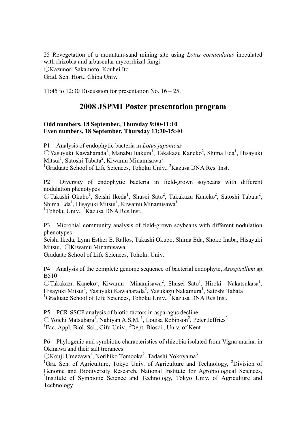25 Revegetation of a mountain-sand mining site using *Lotus corniculatus* inoculated with rhizobia and arbuscular mycorrhizal fungi ○Kazunori Sakamoto, Kouhei Ito Grad. Sch. Hort., Chiba Univ.

11:45 to 12:30 Discussion for presentation No.  $16 - 25$ .

# **2008 JSPMI Poster presentation program**

#### **Odd numbers, 18 September, Thursday 9:00-11:10 Even numbers, 18 September, Thursday 13:30-15:40**

P1 Analysis of endophytic bacteria in *Lotus japonicus*  $\bigcirc$ Yasuyuki Kawaharada<sup>1</sup>, Manabu Itakura<sup>1</sup>, Takakazu Kaneko<sup>2</sup>, Shima Eda<sup>1</sup>, Hisayuki Mitsui<sup>1</sup>, Satoshi Tabata<sup>2</sup>, Kiwamu Minamisawa<sup>1</sup> <sup>1</sup>Graduate School of Life Sciences, Tohoku Univ., <sup>2</sup>Kazusa DNA Res. Inst.

P2 Diversity of endophytic bacteria in field-grown soybeans with different nodulation phenotypes

○Takashi Okubo<sup>1</sup>, Seishi Ikeda<sup>1</sup>, Shusei Sato<sup>2</sup>, Takakazu Kaneko<sup>2</sup>, Satoshi Tabata<sup>2</sup>, Shima Eda<sup>1</sup>, Hisayuki Mitsui<sup>1</sup>, Kiwamu Minamisawa<sup>1</sup> <sup>1</sup>Tohoku Univ., <sup>2</sup>Kazusa DNA Res.Inst.

P3 Microbial community analysis of field-grown soybeans with different nodulation phenotypes

Seishi Ikeda, Lynn Esther E. Rallos, Takashi Okubo, Shima Eda, Shoko Inaba, Hisayuki Mitsui, ○Kiwamu Minamisawa

Graduate School of Life Sciences, Tohoku Univ.

P4 Analysis of the complete genome sequence of bacterial endophyte, *Azospirillum* sp. B510

 $\bigcirc$ Takakazu Kaneko<sup>1</sup>, Kiwamu Minamisawa<sup>2</sup>, Shusei Sato<sup>1</sup>, Hiroki Nakatsukasa<sup>1</sup>, Hisayuki Mitsui<sup>2</sup>, Yasuyuki Kawaharada<sup>2</sup>, Yasukazu Nakamura<sup>1</sup>, Satoshi Tabata<sup>1</sup> <sup>1</sup>Graduate School of Life Sciences, Tohoku Univ., <sup>2</sup>Kazusa DNA Res.Inst.

P5 PCR-SSCP analysis of biotic factors in asparagus decline ○Yoichi Matsubara 1 , Nahiyan A.S.M. 1 , Louisa Robinson 2 , Peter Jeffries 2 <sup>1</sup>Fac. Appl. Biol. Sci., Gifu Univ., <sup>2</sup>Dept. Biosci., Univ. of Kent

P6 Phylogenic and symbiotic characteristics of rhizobia isolated from Vigna marina in Okinawa and their salt trerances

○Kouji Umezawa 1 , Norihiko Tomooka<sup>2</sup> , Tadashi Yokoyama 3

<sup>1</sup>Gra. Sch. of Agriculture, Tokyo Univ. of Agriculture and Technology, <sup>2</sup>Division of Genome and Biodiversity Research, National Institute for Agrobiological Sciences, <sup>3</sup>Institute of Symbiotic Science and Technology, Tokyo Univ. of Agriculture and Technology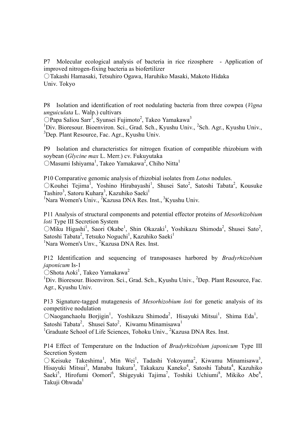P7 Molecular ecological analysis of bacteria in rice rizosphere - Application of improved nitrogen-fixing bacteria as biofertilizer

○Takashi Hamasaki, Tetsuhiro Ogawa, Haruhiko Masaki, Makoto Hidaka Univ. Tokyo

P8 Isolation and identification of root nodulating bacteria from three cowpea (*Vigna unguiculata* L. Walp.) cultivars

○Papa Saliou Sarr 1 , Syunsei Fujimoto 2 , Takeo Yamakawa 3

 $1$ Div. Bioresour. Bioenviron. Sci., Grad. Sch., Kyushu Univ., <sup>2</sup>Sch. Agr., Kyushu Univ.,  $3$ Don. Plant Besource. Fee, Agr. Kyushu Univ.  ${}^{3}$ Dep. Plant Resource, Fac. Agr., Kyushu Univ.

P9 Isolation and characteristics for nitrogen fixation of compatible rhizobium with soybean (*Glycine max* L. Merr.) cv. Fukuyutaka OMasumi Ishiyama<sup>1</sup>, Takeo Yamakawa<sup>2</sup>, Chiho Nitta<sup>1</sup>

P10 Comparative genomic analysis of rhizobial isolates from *Lotus* nodules. ○Kouhei Tejima<sup>1</sup>, Yoshino Hirabayashi<sup>1</sup>, Shusei Sato<sup>2</sup>, Satoshi Tabata<sup>2</sup>, Kousuke Tashiro<sup>3</sup>, Satoru Kuhara<sup>3</sup>, Kazuhiko Saeki<sup>1</sup> <sup>1</sup>Nara Women's Univ., <sup>2</sup>Kazusa DNA Res. Inst., <sup>3</sup>Kyushu Univ.

P11 Analysis of structural components and potential effector proteins of *Mesorhizobium loti* Type III Secretion System

OMiku Higashi<sup>1</sup>, Saori Okabe<sup>1</sup>, Shin Okazaki<sup>1</sup>, Yoshikazu Shimoda<sup>2</sup>, Shusei Sato<sup>2</sup>, Satoshi Tabata<sup>2</sup>, Tetsuko Noguchi<sup>1</sup>, Kazuhiko Saeki<sup>1</sup> <sup>1</sup>Nara Women's Unv., <sup>2</sup>Kazusa DNA Res. Inst.

P12 Identification and sequencing of transposases harbored by *Bradyrhizobium japonicum* Is-1

○Shota Aoki<sup>1</sup>, Takeo Yamakawa<sup>2</sup>

<sup>1</sup>Div. Bioresour. Bioenviron. Sci., Grad. Sch., Kyushu Univ., <sup>2</sup>Dep. Plant Resource, Fac. Agr., Kyushu Univ.

P13 Signature-tagged mutagenesis of *Mesorhizobium loti* for genetic analysis of its competitive nodulation

○Naoganchaolu Borjigin<sup>1</sup>, Yoshikazu Shimoda<sup>2</sup>, Hisayuki Mitsui<sup>1</sup>, Shima Eda<sup>1</sup>, Satoshi Tabata<sup>2</sup>, Shusei Sato<sup>2</sup>, Kiwamu Minamisawa<sup>1</sup>

<sup>1</sup>Graduate School of Life Sciences, Tohoku Univ., <sup>2</sup>Kazusa DNA Res. Inst.

P14 Effect of Temperature on the Induction of *Bradyrhizobium japonicum* Type III Secretion System

 $\bigcirc$  Keisuke Takeshima<sup>1</sup>, Min Wei<sup>1</sup>, Tadashi Yokoyama<sup>2</sup>, Kiwamu Minamisawa<sup>3</sup>, Hisayuki Mitsui<sup>3</sup>, Manabu Itakura<sup>3</sup>, Takakazu Kaneko<sup>4</sup>, Satoshi Tabata<sup>4</sup>, Kazuhiko Saeki<sup>5</sup>, Hirofumi Oomori<sup>6</sup>, Shigeyuki Tajima<sup>7</sup>, Toshiki Uchiumi<sup>8</sup>, Mikiko Abe<sup>8</sup>, Takuji Ohwada<sup>1</sup>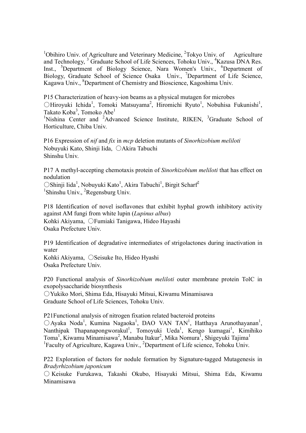$1$ Obihiro Univ. of Agriculture and Veterinary Medicine,  $2$ Tokyo Univ. of Agriculture and Technology, <sup>3</sup> Graduate School of Life Sciences, Tohoku Univ., <sup>4</sup>Kazusa DNA Res. Inst., <sup>5</sup>Department of Biology Science, Nara Women's Univ., <sup>6</sup>Department of Biology, Graduate School of Science Osaka Univ., <sup>7</sup>Department of Life Science, Kagawa Univ., <sup>8</sup>Department of Chemistry and Bioscience, Kagoshima Univ.

P15 Characterization of heavy-ion beams as a physical mutagen for microbes ○Hiroyuki Ichida<sup>1</sup>, Tomoki Matsuyama<sup>2</sup>, Hiromichi Ryuto<sup>1</sup>, Nobuhisa Fukunishi<sup>1</sup>, Takato Koba<sup>3</sup>, Tomoko Abe<sup>1</sup>

<sup>1</sup>Nishina Center and <sup>2</sup>Advanced Science Institute, RIKEN, <sup>3</sup>Graduate School of Horticulture, Chiba Univ.

P16 Expression of *nif* and *fix* in *mcp* deletion mutants of *Sinorhizobium meliloti* Nobuyuki Kato, Shinji Iida, 〇Akira Tabuchi Shinshu Univ.

P17 A methyl-accepting chemotaxis protein of *Sinorhizobium meliloti* that has effect on nodulation

○Shinji Iida<sup>1</sup>, Nobuyuki Kato<sup>1</sup>, Akira Tabuchi<sup>1</sup>, Birgit Scharf<sup>2</sup> <sup>1</sup>Shinshu Univ., <sup>2</sup>Regensburg Univ.

P18 Identification of novel isoflavones that exhibit hyphal growth inhibitory activity against AM fungi from white lupin (*Lupinus albus*) Kohki Akiyama, 〇Fumiaki Tanigawa, Hideo Hayashi Osaka Prefecture Univ.

P19 Identification of degradative intermediates of strigolactones during inactivation in water

Kohki Akiyama, 〇Seisuke Ito, Hideo Hyashi Osaka Prefecture Univ.

P20 Functional analysis of *Sinorhizobium meliloti* outer membrane protein TolC in exopolysaccharide biosynthesis

〇Yukiko Mori, Shima Eda, Hisayuki Mitsui, Kiwamu Minamisawa Graduate School of Life Sciences, Tohoku Univ.

P21Functional analysis of nitrogen fixation related bacteroid proteins ○ Ayaka Noda<sup>1</sup>, Kumina Nagaoka<sup>1</sup>, DAO VAN TAN<sup>1</sup>, Hatthaya Arunothayanan<sup>1</sup>, Nanthipak Thapanapongworakul<sup>1</sup>, Tomoyuki Ueda<sup>1</sup>, Kengo kumagai<sup>1</sup>, Kimihiko Toma<sup>1</sup>, Kiwamu Minamisawa<sup>2</sup>, Manabu Itakur<sup>2</sup>, Mika Nomura<sup>1</sup>, Shigeyuki Tajima<sup>1</sup> <sup>1</sup>Faculty of Agriculture, Kagawa Univ., <sup>2</sup>Department of Life science, Tohoku Univ.

P22 Exploration of factors for nodule formation by Signature-tagged Mutagenesis in *Bradyrhizobium japonicum*

〇 Keisuke Furukawa, Takashi Okubo, Hisayuki Mitsui, Shima Eda, Kiwamu Minamisawa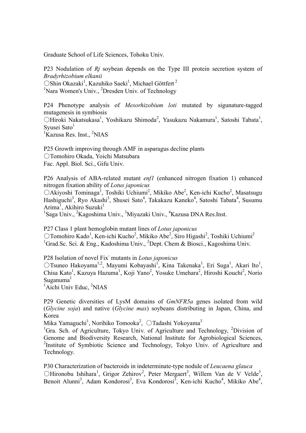Graduate School of Life Sciences, Tohoku Univ.

P23 Nodulation of *Rj* soybean depends on the Type III protein secretion system of *Bradyrhizobium elkanii* ○Shin Okazaki<sup>1</sup>, Kazuhiko Saeki<sup>1</sup>, Michael Göttfert<sup>2</sup> <sup>1</sup>Nara Women's Univ., <sup>2</sup>Dresden Univ. of Technology

P24 Phenotype analysis of *Mesorhizobium loti* mutated by sigunature-tagged mutagenesis in symbiosis OHiroki Nakatsukasa<sup>1</sup>, Yoshikazu Shimoda<sup>2</sup>, Yasukazu Nakamura<sup>1</sup>, Satoshi Tabata<sup>1</sup>, Syusei Sato<sup>1</sup> <sup>1</sup>Kazusa Res. Inst., <sup>2</sup>NIAS

P25 Growth improving through AMF in asparagus decline plants 〇Tomohiro Okada, Yoichi Matsubara Fac. Appl. Biol. Sci., Gifu Univ.

P26 Analysis of ABA-related mutant *enf1* (enhanced nitrogen fixation 1) enhanced nitrogen fixation ability of *Lotus japonicus*

〇Akiyoshi Tominaga 1 , Toshiki Uchiumi 2 , Mikiko Abe<sup>2</sup> , Ken-ichi Kucho2 , Masatsugu Hashiguchi<sup>3</sup>, Ryo Akashi<sup>3</sup>, Shusei Sato<sup>4</sup>, Takakazu Kaneko<sup>4</sup>, Satoshi Tabata<sup>4</sup>, Susumu Arima<sup>1</sup>, Akihiro Suzuki<sup>1</sup>

<sup>1</sup>Saga Univ., <sup>2</sup>Kagoshima Univ., <sup>3</sup>Miyazaki Univ., <sup>4</sup>Kazusa DNA Res.Inst.

P27 Class 1 plant hemoglobin mutant lines of *Lotus japonicus*  $\bigcirc$ Tomohiro Kado<sup>1</sup>, Ken-ichi Kucho<sup>2</sup>, Mikiko Abe<sup>2</sup>, Siro Higashi<sup>2</sup>, Toshiki Uchiumi<sup>2</sup> <sup>1</sup>Grad.Sc. Sci. & Eng., Kadoshima Univ., <sup>2</sup>Dept. Chem & Biosci., Kagoshima Univ.

P28 Isolation of novel Fix- mutants in *Lotus japonicus*

○Tsuneo Hakoyama<sup>1,2</sup>, Mayumi Kobayashi<sup>1</sup>, Kina Takenaka<sup>1</sup>, Eri Suga<sup>1</sup>, Akari Ito<sup>1</sup>, Chisa Kato<sup>1</sup>, Kazuya Hazuma<sup>1</sup>, Koji Yano<sup>2</sup>, Yosuke Umehara<sup>2</sup>, Hiroshi Kouchi<sup>2</sup>, Norio Suganuma<sup>1</sup>

<sup>1</sup>Aichi Univ Educ, <sup>2</sup>NIAS

P29 Genetic diversities of LysM domains of *GmNFR5a* genes isolated from wild (*Glycine soja*) and native (*Glycine max*) soybeans distributing in Japan, China, and Korea

Mika Yamaguchi<sup>1</sup>, Norihiko Tomooka<sup>2</sup>,  $\bigcirc$ Tadashi Yokoyama<sup>3</sup>

<sup>1</sup>Gra. Sch. of Agriculture, Tokyo Univ. of Agriculture and Technology, <sup>2</sup>Division of Genome and Biodiversity Research, National Institute for Agrobiological Sciences, 2 <sup>2</sup>Institute of Symbiotic Science and Technology, Tokyo Univ. of Agriculture and Technology.

P30 Characterization of bacteroids in indeterminate-type nodule of *Leucaena glauca* OHironobu Ishihara<sup>1</sup>, Grigor Zehirov<sup>2</sup>, Peter Mergaert<sup>3</sup>, Willem Van de V Velde<sup>3</sup>, Benoit Alunni<sup>3</sup>, Adam Kondorosi<sup>3</sup>, Eva Kondorosi<sup>3</sup>, Ken-ichi Kucho<sup>4</sup>, Mikiko Abe<sup>4</sup>,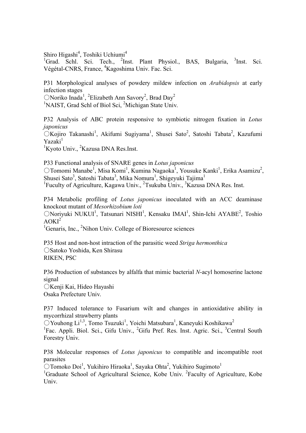Shiro Higashi<sup>4</sup>, Toshiki Uchiumi<sup>4</sup>

<sup>1</sup>Grad. Schl. Sci. Tech., <sup>2</sup>Inst. Plant Physiol., BAS, Bulgaria, <sup>3</sup>Inst. Sci. Végétal-CNRS, France, <sup>4</sup>Kagoshima Univ. Fac. Sci.

P31 Morphological analyses of powdery mildew infection on *Arabidopsis* at early infection stages

 $\bigcirc$ Noriko Inada<sup>1</sup>, <sup>2</sup>Elizabeth Ann Savory<sup>2</sup>, Brad Day<sup>2</sup> <sup>1</sup>NAIST, Grad Schl of Biol Sci, <sup>2</sup>Michigan State Univ.

P32 Analysis of ABC protein responsive to symbiotic nitrogen fixation in *Lotus japonicus*

○Kojiro Takanashi<sup>1</sup>, Akifumi Sugiyama<sup>1</sup>, Shusei Sato<sup>2</sup>, Satoshi Tabata<sup>2</sup>, Kazufumi Yazaki<sup>1</sup>

<sup>1</sup>Kyoto Univ., <sup>2</sup>Kazusa DNA Res.Inst.

P33 Functional analysis of SNARE genes in *Lotus japonicus*  $\bigcirc$ Tomomi Manabe<sup>1</sup>, Misa Komi<sup>1</sup>, Kumina Nagaoka<sup>1</sup>, Yousuke Kanki<sup>1</sup>, Erika Asamizu<sup>2</sup>, Shusei Sato<sup>3</sup>, Satoshi Tabata<sup>3</sup>, Mika Nomura<sup>1</sup>, Shigeyuki Tajima<sup>1</sup> <sup>1</sup>Fuculty of Agriculture, Kagawa Univ., <sup>2</sup>Tsukuba Univ., <sup>3</sup>Kazusa DNA Res. Inst.

P34 Metabolic profiling of *Lotus japonicus* inoculated with an ACC deaminase knockout mutant of *Mesorhizobium loti*

ONoriyuki NUKUI<sup>1</sup>, Tatsunari NISHI<sup>1</sup>, Kensaku IMAI<sup>1</sup>, Shin-Ichi AYABE<sup>2</sup>, Toshio  $AOKI<sup>2</sup>$ 

<sup>1</sup>Genaris, Inc., <sup>2</sup>Nihon Univ. College of Bioresource sciences

P35 Host and non-host intraction of the parasitic weed *Striga hermonthica* 〇Satoko Yoshida, Ken Shirasu RIKEN, PSC

P36 Production of substances by alfalfa that mimic bacterial *N*-acyl homoserine lactone signal

〇Kenji Kai, Hideo Hayashi

Osaka Prefecture Univ.

P37 Induced tolerance to Fusarium wilt and changes in antioxidative ability in mycorrhizal strawberry plants

 $\bigcirc$ Youhong Li<sup>1,3</sup>, Tomo Tsuzuki<sup>1</sup>, Yoichi Matsubara<sup>1</sup>, Kaneyuki Koshikawa<sup>2</sup>

<sup>1</sup>Fac. Appli. Biol. Sci., Gifu Univ., <sup>2</sup>Gifu Pref. Res. Inst. Agric. Sci., <sup>3</sup>Central South Forestry Univ.

P38 Molecular responses of *Lotus japonicus* to compatible and incompatible root parasites

 $\bigcirc$ Tomoko Doi<sup>1</sup>, Yukihiro Hiraoka<sup>1</sup>, Sayaka Ohta<sup>2</sup>, Yukihiro Sugimoto<sup>1</sup>

<sup>1</sup>Graduate School of Agricultural Science, Kobe Univ. <sup>2</sup>Faculty of Agriculture, Kobe Univ.